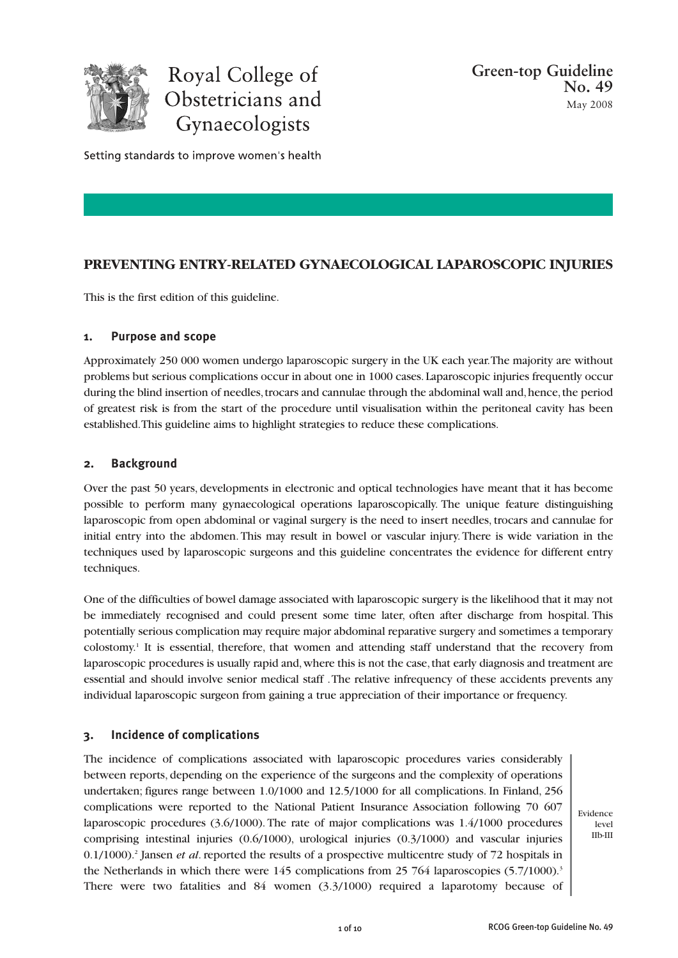

Royal College of Obstetricians and Gynaecologists

Setting standards to improve women's health

# **PREVENTING ENTRY-RELATED GYNAECOLOGICAL LAPAROSCOPIC INJURIES**

This is the first edition of this guideline.

## **1. Purpose and scope**

Approximately 250 000 women undergo laparoscopic surgery in the UK each year. The majority are without problems but serious complications occur in about one in 1000 cases. Laparoscopic injuries frequently occur during the blind insertion of needles, trocars and cannulae through the abdominal wall and, hence, the period of greatest risk is from the start of the procedure until visualisation within the peritoneal cavity has been established. This guideline aims to highlight strategies to reduce these complications.

## **2. Background**

Over the past 50 years, developments in electronic and optical technologies have meant that it has become possible to perform many gynaecological operations laparoscopically. The unique feature distinguishing laparoscopic from open abdominal or vaginal surgery is the need to insert needles, trocars and cannulae for initial entry into the abdomen. This may result in bowel or vascular injury. There is wide variation in the techniques used by laparoscopic surgeons and this guideline concentrates the evidence for different entry techniques.

One of the difficulties of bowel damage associated with laparoscopic surgery is the likelihood that it may not be immediately recognised and could present some time later, often after discharge from hospital. This potentially serious complication may require major abdominal reparative surgery and sometimes a temporary colostomy.<sup>1</sup> It is essential, therefore, that women and attending staff understand that the recovery from laparoscopic procedures is usually rapid and, where this is not the case, that early diagnosis and treatment are essential and should involve senior medical staff . The relative infrequency of these accidents prevents any individual laparoscopic surgeon from gaining a true appreciation of their importance or frequency.

## **3. Incidence of complications**

The incidence of complications associated with laparoscopic procedures varies considerably between reports, depending on the experience of the surgeons and the complexity of operations undertaken; figures range between 1.0/1000 and 12.5/1000 for all complications. In Finland, 256 complications were reported to the National Patient Insurance Association following 70 607 laparoscopic procedures (3.6/1000). The rate of major complications was 1.4/1000 procedures comprising intestinal injuries (0.6/1000), urological injuries (0.3/1000) and vascular injuries 0.1/1000).<sup>2</sup> Jansen *et al*. reported the results of a prospective multicentre study of 72 hospitals in the Netherlands in which there were 145 complications from 25 764 laparoscopies (5.7/1000).<sup>3</sup> There were two fatalities and 84 women (3.3/1000) required a laparotomy because of

Evidence level IIb-III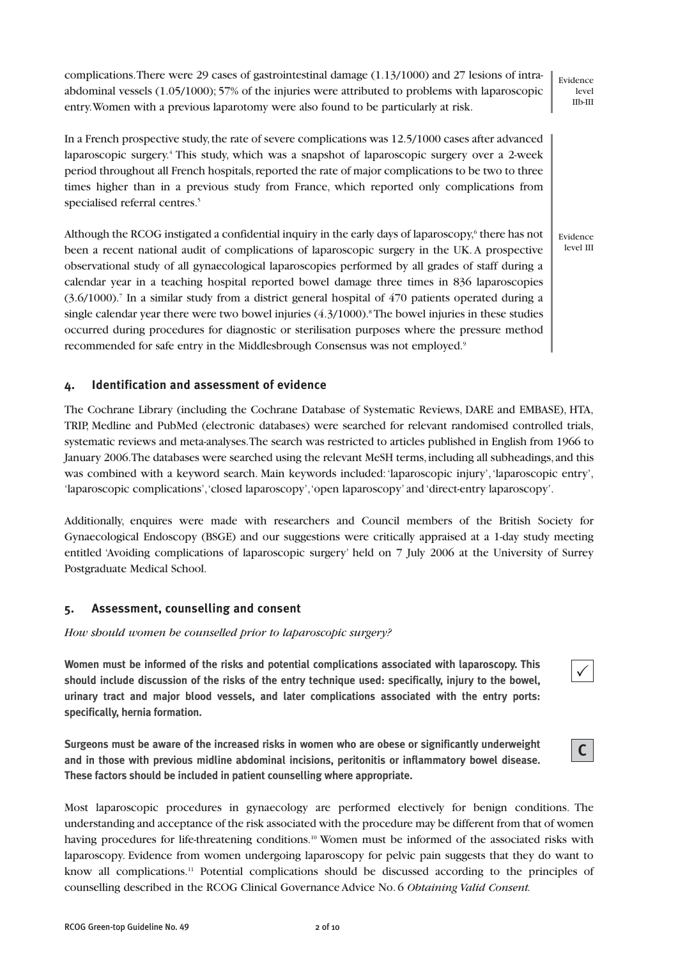complications. There were 29 cases of gastrointestinal damage (1.13/1000) and 27 lesions of intraabdominal vessels (1.05/1000); 57% of the injuries were attributed to problems with laparoscopic entry. Women with a previous laparotomy were also found to be particularly at risk. In a French prospective study, the rate of severe complications was 12.5/1000 cases after advanced laparoscopic surgery.<sup>4</sup> This study, which was a snapshot of laparoscopic surgery over a 2-week Evidence level IIb-III

period throughout all French hospitals, reported the rate of major complications to be two to three times higher than in a previous study from France, which reported only complications from specialised referral centres.<sup>5</sup>

Although the RCOG instigated a confidential inquiry in the early days of laparoscopy,<sup>6</sup> there has not been a recent national audit of complications of laparoscopic surgery in the UK. A prospective observational study of all gynaecological laparoscopies performed by all grades of staff during a calendar year in a teaching hospital reported bowel damage three times in 836 laparoscopies (3.6/1000).<sup>7</sup> In a similar study from a district general hospital of 470 patients operated during a single calendar year there were two bowel injuries  $(4.3/1000)$ .<sup>8</sup>The bowel injuries in these studies occurred during procedures for diagnostic or sterilisation purposes where the pressure method recommended for safe entry in the Middlesbrough Consensus was not employed.<sup>9</sup> Evidence level III

## **4. Identification and assessment of evidence**

The Cochrane Library (including the Cochrane Database of Systematic Reviews, DARE and EMBASE), HTA, TRIP, Medline and PubMed (electronic databases) were searched for relevant randomised controlled trials, systematic reviews and meta-analyses. The search was restricted to articles published in English from 1966 to January 2006. The databases were searched using the relevant MeSH terms, including all subheadings, and this was combined with a keyword search. Main keywords included: 'laparoscopic injury', 'laparoscopic entry', 'laparoscopic complications', 'closed laparoscopy', 'open laparoscopy' and 'direct-entry laparoscopy'.

Additionally, enquires were made with researchers and Council members of the British Society for Gynaecological Endoscopy (BSGE) and our suggestions were critically appraised at a 1-day study meeting entitled 'Avoiding complications of laparoscopic surgery' held on 7 July 2006 at the University of Surrey Postgraduate Medical School.

### **5. Assessment, counselling and consent**

*How should women be counselled prior to laparoscopic surgery?*

**Women must be informed of the risks and potential complications associated with laparoscopy. This should include discussion of the risks of the entry technique used: specifically, injury to the bowel, urinary tract and major blood vessels, and later complications associated with the entry ports: specifically, hernia formation.**

**Surgeons must be aware of the increased risks in women who are obese or significantly underweight and in those with previous midline abdominal incisions, peritonitis or inflammatory bowel disease. These factors should be included in patient counselling where appropriate.**



 $\checkmark$ 

Most laparoscopic procedures in gynaecology are performed electively for benign conditions. The understanding and acceptance of the risk associated with the procedure may be different from that of women having procedures for life-threatening conditions.<sup>10</sup> Women must be informed of the associated risks with laparoscopy. Evidence from women undergoing laparoscopy for pelvic pain suggests that they do want to know all complications.<sup>11</sup> Potential complications should be discussed according to the principles of counselling described in the RCOG Clinical Governance Advice No. 6 *Obtaining Valid Consent.*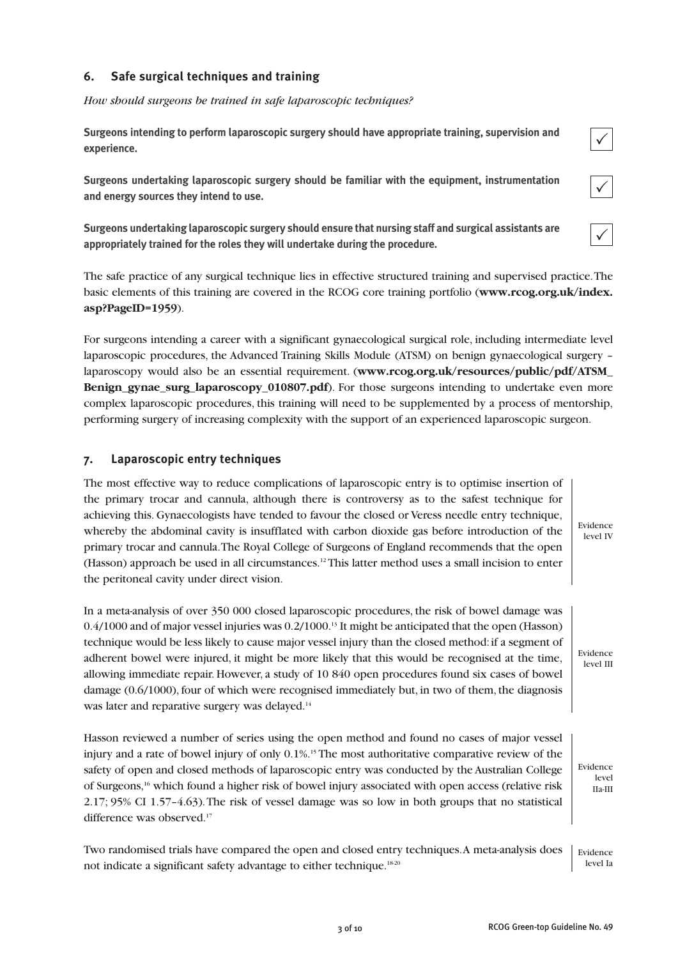# **6. Safe surgical techniques and training**

*How should surgeons be trained in safe laparoscopic techniques?*

**Surgeons intending to perform laparoscopic surgery should have appropriate training, supervision and experience.**

**Surgeons undertaking laparoscopic surgery should be familiar with the equipment, instrumentation and energy sources they intend to use.**

**Surgeons undertaking laparoscopic surgery should ensure that nursing staff and surgical assistants are appropriately trained for the roles they will undertake during the procedure.**

The safe practice of any surgical technique lies in effective structured training and supervised practice. The basic elements of this training are covered in the RCOG core training portfolio (**www.rcog.org.uk/index. asp?PageID=1959**).

For surgeons intending a career with a significant gynaecological surgical role, including intermediate level laparoscopic procedures, the Advanced Training Skills Module (ATSM) on benign gynaecological surgery – laparoscopy would also be an essential requirement. (**www.rcog.org.uk/resources/public/pdf/ATSM\_ Benign** gynae surg laparoscopy 010807.pdf). For those surgeons intending to undertake even more complex laparoscopic procedures, this training will need to be supplemented by a process of mentorship, performing surgery of increasing complexity with the support of an experienced laparoscopic surgeon.

## **7. Laparoscopic entry techniques**

The most effective way to reduce complications of laparoscopic entry is to optimise insertion of the primary trocar and cannula, although there is controversy as to the safest technique for achieving this. Gynaecologists have tended to favour the closed or Veress needle entry technique, whereby the abdominal cavity is insufflated with carbon dioxide gas before introduction of the primary trocar and cannula. The Royal College of Surgeons of England recommends that the open (Hasson) approach be used in all circumstances.<sup>12</sup> This latter method uses a small incision to enter the peritoneal cavity under direct vision.

In a meta-analysis of over 350 000 closed laparoscopic procedures, the risk of bowel damage was 0.4/1000 and of major vessel injuries was 0.2/1000.<sup>13</sup> It might be anticipated that the open (Hasson) technique would be less likely to cause major vessel injury than the closed method: if a segment of adherent bowel were injured, it might be more likely that this would be recognised at the time, allowing immediate repair. However, a study of 10 840 open procedures found six cases of bowel damage (0.6/1000), four of which were recognised immediately but, in two of them, the diagnosis was later and reparative surgery was delayed.<sup>14</sup>

Hasson reviewed a number of series using the open method and found no cases of major vessel injury and a rate of bowel injury of only 0.1%.<sup>15</sup> The most authoritative comparative review of the safety of open and closed methods of laparoscopic entry was conducted by the Australian College of Surgeons,<sup>16</sup> which found a higher risk of bowel injury associated with open access (relative risk 2.17; 95% CI 1.57–4.63). The risk of vessel damage was so low in both groups that no statistical difference was observed.<sup>17</sup>

Two randomised trials have compared the open and closed entry techniques. A meta-analysis does not indicate a significant safety advantage to either technique.<sup>1820</sup> Evidence level Ia

 $\checkmark$ 

|--|

Evidence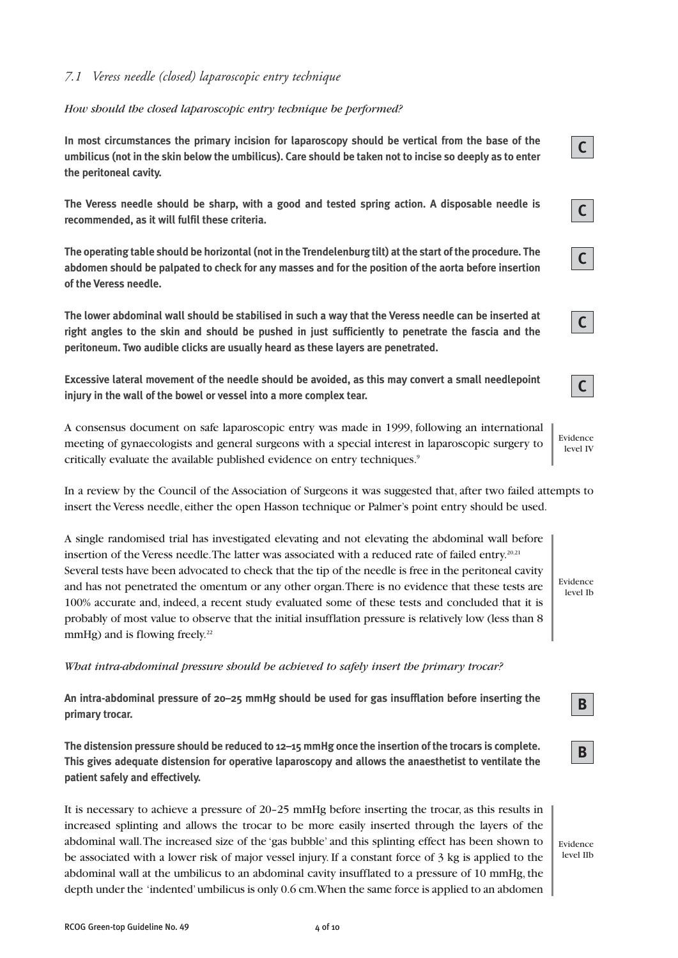## *7.1 Veress needle (closed) laparoscopic entry technique*

#### *How should the closed laparoscopic entry technique be performed?*

**In most circumstances the primary incision for laparoscopy should be vertical from the base of the umbilicus (not in the skin below the umbilicus). Care should be taken not to incise so deeply as to enter the peritoneal cavity.**

**The Veress needle should be sharp, with a good and tested spring action. A disposable needle is recommended, as it will fulfil these criteria.**

**The operating table should be horizontal (not in the Trendelenburg tilt) at the start of the procedure. The abdomen should be palpated to check for any masses and for the position of the aorta before insertion of the Veress needle.**

**The lower abdominal wall should be stabilised in such a way that the Veress needle can be inserted at right angles to the skin and should be pushed in just sufficiently to penetrate the fascia and the peritoneum. Two audible clicks are usually heard as these layers are penetrated.**

**Excessive lateral movement of the needle should be avoided, as this may convert a small needlepoint injury in the wall of the bowel or vessel into a more complex tear.**

A consensus document on safe laparoscopic entry was made in 1999, following an international meeting of gynaecologists and general surgeons with a special interest in laparoscopic surgery to critically evaluate the available published evidence on entry techniques.<sup>9</sup>

In a review by the Council of the Association of Surgeons it was suggested that, after two failed attempts to insert the Veress needle, either the open Hasson technique or Palmer's point entry should be used.

A single randomised trial has investigated elevating and not elevating the abdominal wall before insertion of the Veress needle. The latter was associated with a reduced rate of failed entry.<sup>20,21</sup> Several tests have been advocated to check that the tip of the needle is free in the peritoneal cavity and has not penetrated the omentum or any other organ. There is no evidence that these tests are 100% accurate and, indeed, a recent study evaluated some of these tests and concluded that it is probably of most value to observe that the initial insufflation pressure is relatively low (less than 8 mmHg) and is flowing freely. $22$ 

*What intra-abdominal pressure should be achieved to safely insert the primary trocar?*

**An intra-abdominal pressure of 20–25 mmHg should be used for gas insufflation before inserting the primary trocar.**

**The distension pressure should be reduced to 12–15 mmHg once the insertion of the trocars is complete. This gives adequate distension for operative laparoscopy and allows the anaesthetist to ventilate the patient safely and effectively.**

It is necessary to achieve a pressure of 20–25 mmHg before inserting the trocar, as this results in increased splinting and allows the trocar to be more easily inserted through the layers of the abdominal wall. The increased size of the 'gas bubble' and this splinting effect has been shown to be associated with a lower risk of major vessel injury. If a constant force of 3 kg is applied to the abdominal wall at the umbilicus to an abdominal cavity insufflated to a pressure of 10 mmHg, the depth under the 'indented' umbilicus is only 0.6 cm. When the same force is applied to an abdomen

**B**

**B**

Evidence level IV

Evidence level Ib

**C**

**C**

**C**

**C**

**C**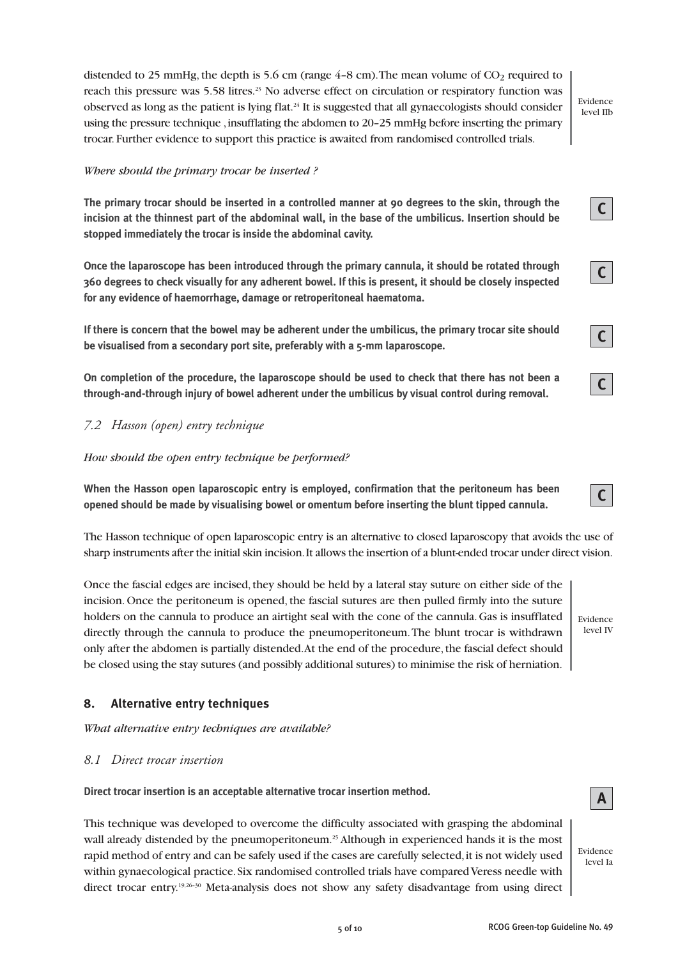distended to 25 mmHg, the depth is 5.6 cm (range  $4-8$  cm). The mean volume of CO<sub>2</sub> required to reach this pressure was 5.58 litres.<sup>23</sup> No adverse effect on circulation or respiratory function was observed as long as the patient is lying flat.<sup>24</sup> It is suggested that all gynaecologists should consider using the pressure technique , insufflating the abdomen to 20–25 mmHg before inserting the primary trocar. Further evidence to support this practice is awaited from randomised controlled trials.

#### *Where should the primary trocar be inserted ?*

**The primary trocar should be inserted in a controlled manner at 90 degrees to the skin, through the incision at the thinnest part of the abdominal wall, in the base of the umbilicus. Insertion should be stopped immediately the trocar is inside the abdominal cavity.**

**Once the laparoscope has been introduced through the primary cannula, it should be rotated through 360 degrees to check visually for any adherent bowel. If this is present, it should be closely inspected for any evidence of haemorrhage, damage or retroperitoneal haematoma.**

**If there is concern that the bowel may be adherent under the umbilicus, the primary trocar site should be visualised from a secondary port site, preferably with a 5-mm laparoscope.**

**On completion of the procedure, the laparoscope should be used to check that there has not been a through-and-through injury of bowel adherent under the umbilicus by visual control during removal.**

### *7.2 Hasson (open) entry technique*

*How should the open entry technique be performed?*

**When the Hasson open laparoscopic entry is employed, confirmation that the peritoneum has been opened should be made by visualising bowel or omentum before inserting the blunt tipped cannula.**

The Hasson technique of open laparoscopic entry is an alternative to closed laparoscopy that avoids the use of sharp instruments after the initial skin incision. It allows the insertion of a blunt-ended trocar under direct vision.

Once the fascial edges are incised, they should be held by a lateral stay suture on either side of the incision. Once the peritoneum is opened, the fascial sutures are then pulled firmly into the suture holders on the cannula to produce an airtight seal with the cone of the cannula. Gas is insufflated directly through the cannula to produce the pneumoperitoneum. The blunt trocar is withdrawn only after the abdomen is partially distended. At the end of the procedure, the fascial defect should be closed using the stay sutures (and possibly additional sutures) to minimise the risk of herniation.

### **8. Alternative entry techniques**

*What alternative entry techniques are available?*

#### *8.1 Direct trocar insertion*

**Direct trocar insertion is an acceptable alternative trocar insertion method.**

This technique was developed to overcome the difficulty associated with grasping the abdominal wall already distended by the pneumoperitoneum.<sup>25</sup> Although in experienced hands it is the most rapid method of entry and can be safely used if the cases are carefully selected, it is not widely used within gynaecological practice. Six randomised controlled trials have compared Veress needle with direct trocar entry.<sup>19,26–30</sup> Meta-analysis does not show any safety disadvantage from using direct

Evidence level IV

**C**

Evidence level IIb





| ٠ |  |
|---|--|
|---|--|



**A**

Evidence level Ia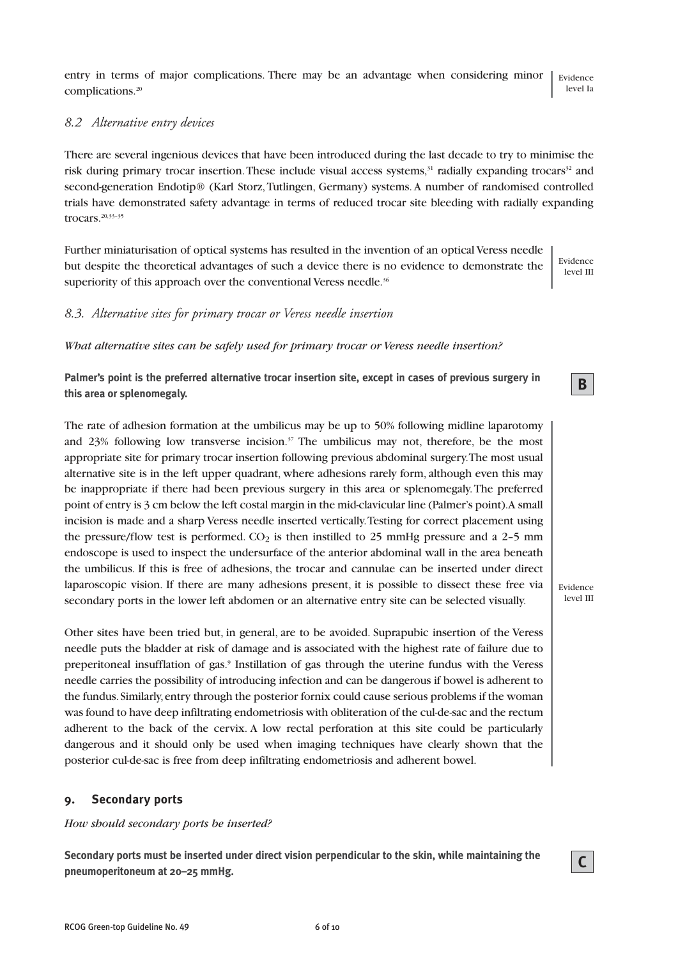entry in terms of major complications. There may be an advantage when considering minor complications.<sup>20</sup> Evidence level Ia

## *8.2 Alternative entry devices*

There are several ingenious devices that have been introduced during the last decade to try to minimise the risk during primary trocar insertion. These include visual access systems,<sup>31</sup> radially expanding trocars<sup>32</sup> and second-generation Endotip® (Karl Storz, Tutlingen, Germany) systems. A number of randomised controlled trials have demonstrated safety advantage in terms of reduced trocar site bleeding with radially expanding trocars.20,33–35

Further miniaturisation of optical systems has resulted in the invention of an optical Veress needle but despite the theoretical advantages of such a device there is no evidence to demonstrate the superiority of this approach over the conventional Veress needle.<sup>36</sup>

Evidence level III

**B**

## *8.3. Alternative sites for primary trocar or Veress needle insertion*

*What alternative sites can be safely used for primary trocar or Veress needle insertion?*

**Palmer's point is the preferred alternative trocar insertion site, except in cases of previous surgery in this area or splenomegaly.**

The rate of adhesion formation at the umbilicus may be up to 50% following midline laparotomy and 23% following low transverse incision.<sup>37</sup> The umbilicus may not, therefore, be the most appropriate site for primary trocar insertion following previous abdominal surgery. The most usual alternative site is in the left upper quadrant, where adhesions rarely form, although even this may be inappropriate if there had been previous surgery in this area or splenomegaly. The preferred point of entry is 3 cm below the left costal margin in the mid-clavicular line (Palmer's point). A small incision is made and a sharp Veress needle inserted vertically. Testing for correct placement using the pressure/flow test is performed.  $CO<sub>2</sub>$  is then instilled to 25 mmHg pressure and a 2–5 mm endoscope is used to inspect the undersurface of the anterior abdominal wall in the area beneath the umbilicus. If this is free of adhesions, the trocar and cannulae can be inserted under direct laparoscopic vision. If there are many adhesions present, it is possible to dissect these free via secondary ports in the lower left abdomen or an alternative entry site can be selected visually.

Other sites have been tried but, in general, are to be avoided. Suprapubic insertion of the Veress needle puts the bladder at risk of damage and is associated with the highest rate of failure due to preperitoneal insufflation of gas.<sup>9</sup> Instillation of gas through the uterine fundus with the Veress needle carries the possibility of introducing infection and can be dangerous if bowel is adherent to the fundus. Similarly, entry through the posterior fornix could cause serious problems if the woman was found to have deep infiltrating endometriosis with obliteration of the cul-de-sac and the rectum adherent to the back of the cervix. A low rectal perforation at this site could be particularly dangerous and it should only be used when imaging techniques have clearly shown that the posterior cul-de-sac is free from deep infiltrating endometriosis and adherent bowel.

### **9. Secondary ports**

*How should secondary ports be inserted?*

**Secondary ports must be inserted under direct vision perpendicular to the skin, while maintaining the pneumoperitoneum at 20–25 mmHg.**

**C**

Evidence level III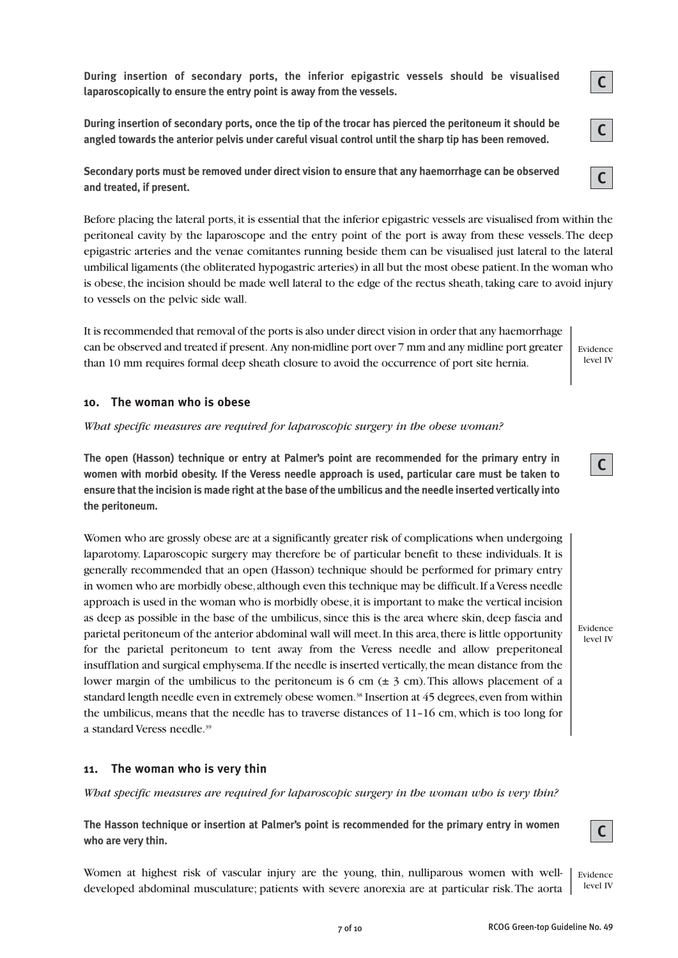**During insertion of secondary ports, the inferior epigastric vessels should be visualised laparoscopically to ensure the entry point is away from the vessels.**

**During insertion of secondary ports, once the tip of the trocar has pierced the peritoneum it should be angled towards the anterior pelvis under careful visual control until the sharp tip has been removed.**

**Secondary ports must be removed under direct vision to ensure that any haemorrhage can be observed and treated, if present.**

Before placing the lateral ports, it is essential that the inferior epigastric vessels are visualised from within the peritoneal cavity by the laparoscope and the entry point of the port is away from these vessels. The deep epigastric arteries and the venae comitantes running beside them can be visualised just lateral to the lateral umbilical ligaments (the obliterated hypogastric arteries) in all but the most obese patient. In the woman who is obese, the incision should be made well lateral to the edge of the rectus sheath, taking care to avoid injury to vessels on the pelvic side wall.

It is recommended that removal of the ports is also under direct vision in order that any haemorrhage can be observed and treated if present. Any non-midline port over 7 mm and any midline port greater than 10 mm requires formal deep sheath closure to avoid the occurrence of port site hernia.

### **10. The woman who is obese**

*What specific measures are required for laparoscopic surgery in the obese woman?*

**The open (Hasson) technique or entry at Palmer's point are recommended for the primary entry in women with morbid obesity. If the Veress needle approach is used, particular care must be taken to ensure that the incision is made right at the base of the umbilicus and the needle inserted vertically into the peritoneum.**

Women who are grossly obese are at a significantly greater risk of complications when undergoing laparotomy. Laparoscopic surgery may therefore be of particular benefit to these individuals. It is generally recommended that an open (Hasson) technique should be performed for primary entry in women who are morbidly obese, although even this technique may be difficult. If a Veress needle approach is used in the woman who is morbidly obese, it is important to make the vertical incision as deep as possible in the base of the umbilicus, since this is the area where skin, deep fascia and parietal peritoneum of the anterior abdominal wall will meet. In this area, there is little opportunity for the parietal peritoneum to tent away from the Veress needle and allow preperitoneal insufflation and surgical emphysema. If the needle is inserted vertically, the mean distance from the lower margin of the umbilicus to the peritoneum is 6 cm  $(\pm 3 \text{ cm})$ . This allows placement of a standard length needle even in extremely obese women.<sup>38</sup> Insertion at 45 degrees, even from within the umbilicus, means that the needle has to traverse distances of 11–16 cm, which is too long for a standard Veress needle.<sup>39</sup>

### **11. The woman who is very thin**

*What specific measures are required for laparoscopic surgery in the woman who is very thin?*

**The Hasson technique or insertion at Palmer's point is recommended for the primary entry in women who are very thin.**

Women at highest risk of vascular injury are the young, thin, nulliparous women with welldeveloped abdominal musculature; patients with severe anorexia are at particular risk. The aorta

**C**

**C**

**C**



Evidence



Evidence level IV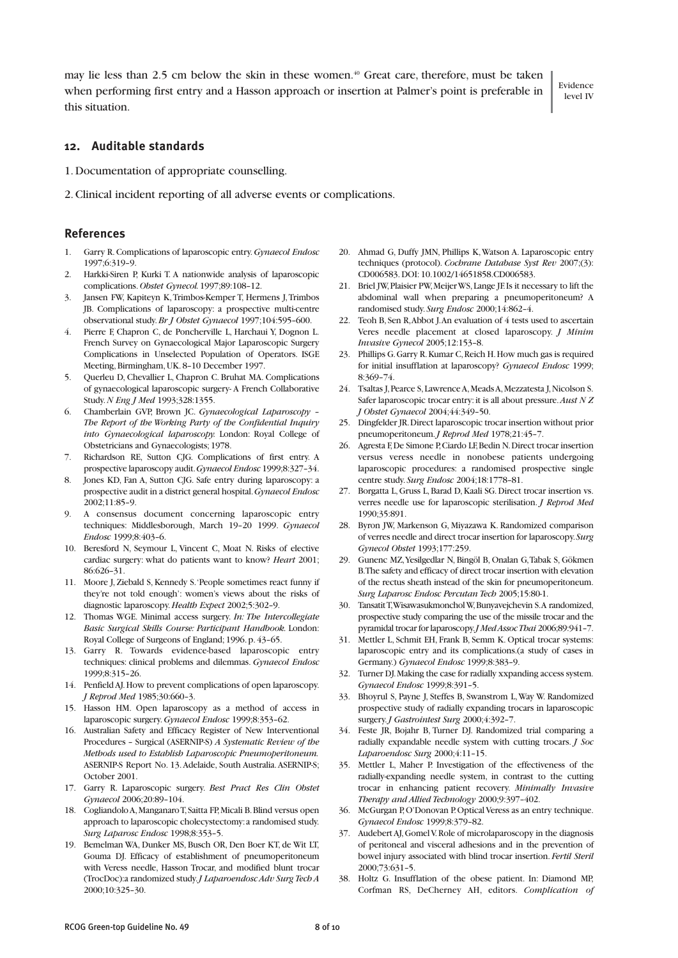may lie less than 2.5 cm below the skin in these women.<sup>40</sup> Great care, therefore, must be taken when performing first entry and a Hasson approach or insertion at Palmer's point is preferable in this situation.

Evidence level IV

#### **12. Auditable standards**

- 1. Documentation of appropriate counselling.
- 2. Clinical incident reporting of all adverse events or complications.

#### **References**

- 1. Garry R. Complications of laparoscopic entry. *Gynaecol Endosc* 1997;6:319–9.
- 2. Harkki-Siren P, Kurki T. A nationwide analysis of laparoscopic complications. *Obstet Gynecol.* 1997;89:108–12.
- 3. Jansen FW, Kapiteyn K, Trimbos-Kemper T, Hermens J, Trimbos JB. Complications of laparoscopy: a prospective multi-centre observational study. *Br J Obstet Gynaecol* 1997;104:595–600.
- 4. Pierre F, Chapron C, de Poncherville L, Harchaui Y, Dognon L. French Survey on Gynaecological Major Laparoscopic Surgery Complications in Unselected Population of Operators. ISGE Meeting, Birmingham, UK. 8–10 December 1997.
- 5. Querleu D, Chevallier L, Chapron C. Bruhat MA. Complications of gynaecological laparoscopic surgery- A French Collaborative Study. *N Eng J Med* 1993;328:1355.
- 6. Chamberlain GVP, Brown JC. *Gynaecological Laparoscopy – The Report of the Working Party of the Confidential Inquiry into Gynaecological laparoscopy.* London: Royal College of Obstetricians and Gynaecologists; 1978.
- 7. Richardson RE, Sutton CJG. Complications of first entry. A prospective laparoscopy audit. *Gynaecol Endosc* 1999;8:327–34.
- 8. Jones KD, Fan A, Sutton CJG. Safe entry during laparoscopy: a prospective audit in a district general hospital. *Gynaecol Endosc* 2002;11:85–9.
- 9. A consensus document concerning laparoscopic entry techniques: Middlesborough, March 19–20 1999. *Gynaecol Endosc* 1999;8:403–6.
- 10. Beresford N, Seymour L, Vincent C, Moat N. Risks of elective cardiac surgery: what do patients want to know? *Heart* 2001; 86:626–31.
- 11. Moore J, Ziebald S, Kennedy S. 'People sometimes react funny if they're not told enough': women's views about the risks of diagnostic laparoscopy. *Health Expect* 2002;5:302–9.
- 12. Thomas WGE. Minimal access surgery. *In: The Intercollegiate Basic Surgical Skills Course: Participant Handbook.* London: Royal College of Surgeons of England; 1996. p. 43–65.
- 13. Garry R. Towards evidence-based laparoscopic entry techniques: clinical problems and dilemmas. *Gynaecol Endosc* 1999;8:315–26.
- 14. Penfield AJ. How to prevent complications of open laparoscopy. *J Reprod Med* 1985;30:660–3.
- 15. Hasson HM. Open laparoscopy as a method of access in laparoscopic surgery. *Gynaecol Endosc* 1999;8:353–62.
- 16. Australian Safety and Efficacy Register of New Interventional Procedures – Surgical (ASERNIP-S) *A Systematic Review of the Methods used to Establish Laparoscopic Pneumoperitoneum.* ASERNIP-S Report No. 13. Adelaide, South Australia. ASERNIP-S; October 2001.
- 17. Garry R. Laparoscopic surgery. *Best Pract Res Clin Obstet Gynaecol* 2006;20:89–104.
- 18. Cogliandolo A, Manganaro T, Saitta FP, Micali B. Blind versus open approach to laparoscopic cholecystectomy: a randomised study. *Surg Laparosc Endosc* 1998;8:353–5.
- 19. Bemelman WA, Dunker MS, Busch OR, Den Boer KT, de Wit LT, Gouma DJ. Efficacy of establishment of pneumoperitoneum with Veress needle, Hasson Trocar, and modified blunt trocar (TrocDoc):a randomized study. *J Laparoendosc Adv Surg Tech A* 2000;10:325–30.
- 20. Ahmad G, Duffy JMN, Phillips K, Watson A. Laparoscopic entry techniques (protocol). *Cochrane Database Syst Rev* 2007;(3): CD006583. DOI: 10.1002/14651858.CD006583.
- 21. Briel JW, Plaisier PW, Meijer WS, Lange JF. Is it necessary to lift the abdominal wall when preparing a pneumoperitoneum? A randomised study. *Surg Endosc* 2000;14:862–4.
- 22. Teoh B, Sen R, Abbot J. An evaluation of 4 tests used to ascertain Veres needle placement at closed laparoscopy. *J Minim Invasive Gynecol* 2005;12:153–8.
- 23. Phillips G. Garry R. Kumar C, Reich H. How much gas is required for initial insufflation at laparoscopy? *Gynaecol Endosc* 1999; 8:369–74.
- 24. Tsaltas J, Pearce S, Lawrence A, Meads A, Mezzatesta J, Nicolson S. Safer laparoscopic trocar entry: it is all about pressure. *Aust N Z J Obstet Gynaecol* 2004;44:349–50.
- 25. Dingfelder JR. Direct laparoscopic trocar insertion without prior pneumoperitoneum. *J Reprod Med* 1978;21:45–7.
- 26. Agresta F, De Simone P, Ciardo LF, Bedin N. Direct trocar insertion versus veress needle in nonobese patients undergoing laparoscopic procedures: a randomised prospective single centre study. *Surg Endosc* 2004;18:1778–81.
- 27. Borgatta L, Gruss L, Barad D, Kaali SG. Direct trocar insertion vs. verres needle use for laparoscopic sterilisation. *J Reprod Med* 1990;35:891.
- 28. Byron JW, Markenson G, Miyazawa K. Randomized comparison of verres needle and direct trocar insertion for laparoscopy. *Surg Gynecol Obstet* 1993;177:259.
- 29. Gunenc MZ, Yesilgedlar N, Bingöl B, Onalan G, Tabak S, Gökmen B. The safety and efficacy of direct trocar insertion with elevation of the rectus sheath instead of the skin for pneumoperitoneum. *Surg Laparosc Endosc Percutan Tech* 2005;15:80-1.
- 30. Tansatit T, Wisawasukmonchol W, Bunyavejchevin S. A randomized, prospective study comparing the use of the missile trocar and the pyramidal trocar for laparoscopy. *J Med Assoc Thai* 2006;89:941–7.
- 31. Mettler L, Schmit EH, Frank B, Semm K. Optical trocar systems: laparoscopic entry and its complications.(a study of cases in Germany.) *Gynaecol Endosc* 1999;8:383–9.
- 32. Turner DJ. Making the case for radially xxpanding access system. *Gynaecol Endosc* 1999;8:391–5.
- 33. Bhoyrul S, Payne J, Steffes B, Swanstrom L, Way W. Randomized prospective study of radially expanding trocars in laparoscopic surgery. *J Gastrointest Surg* 2000;4:392–7.
- 34. Feste JR, Bojahr B, Turner DJ. Randomized trial comparing a radially expandable needle system with cutting trocars. *J Soc Laparoendosc Surg* 2000;4:11–15.
- 35. Mettler L, Maher P. Investigation of the effectiveness of the radially-expanding needle system, in contrast to the cutting trocar in enhancing patient recovery. *Minimally Invasive Therapy and Allied Technology* 2000;9:397–402.
- 36. McGurgan P, O'Donovan P. Optical Veress as an entry technique. *Gynaecol Endosc* 1999;8:379–82.
- 37. Audebert AJ, Gomel V. Role of microlaparoscopy in the diagnosis of peritoneal and visceral adhesions and in the prevention of bowel injury associated with blind trocar insertion. *Fertil Steril* 2000;73:631–5.
- 38. Holtz G. Insufflation of the obese patient. In: Diamond MP, Corfman RS, DeCherney AH, editors. *Complication of*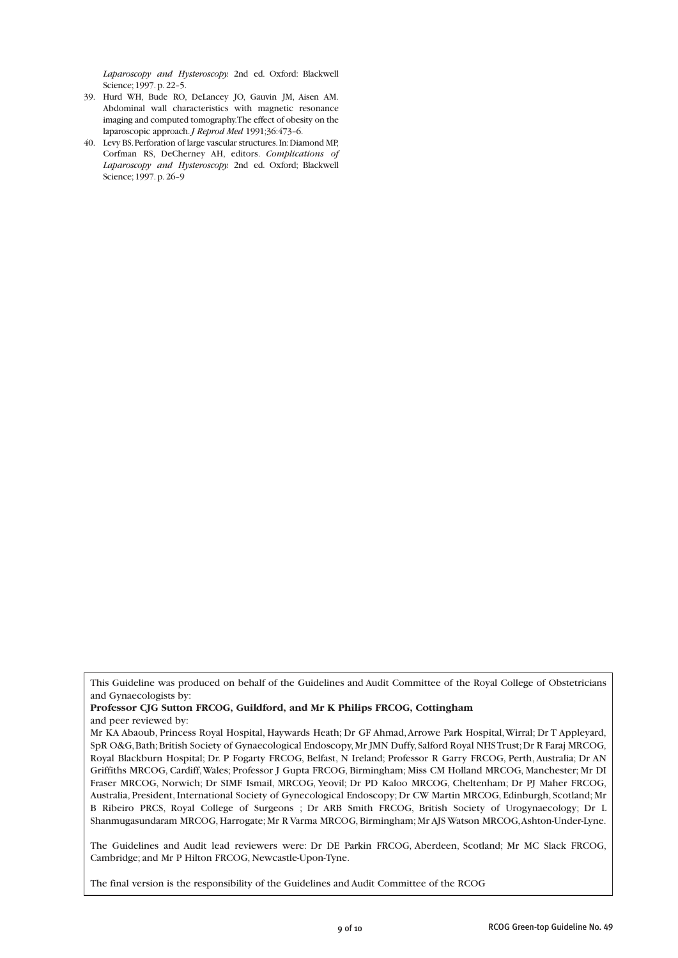*Laparoscopy and Hysteroscopy.* 2nd ed. Oxford: Blackwell Science; 1997. p. 22–5.

- 39. Hurd WH, Bude RO, DeLancey JO, Gauvin JM, Aisen AM. Abdominal wall characteristics with magnetic resonance imaging and computed tomography. The effect of obesity on the laparoscopic approach. *J Reprod Med* 1991;36:473–6.
- 40. Levy BS. Perforation of large vascular structures. In: Diamond MP, Corfman RS, DeCherney AH, editors. *Complications of Laparoscopy and Hysteroscopy.* 2nd ed. Oxford; Blackwell Science; 1997. p. 26–9

**Professor CJG Sutton FRCOG, Guildford, and Mr K Philips FRCOG, Cottingham** and peer reviewed by:

The Guidelines and Audit lead reviewers were: Dr DE Parkin FRCOG, Aberdeen, Scotland; Mr MC Slack FRCOG, Cambridge; and Mr P Hilton FRCOG, Newcastle-Upon-Tyne.

The final version is the responsibility of the Guidelines and Audit Committee of the RCOG

This Guideline was produced on behalf of the Guidelines and Audit Committee of the Royal College of Obstetricians and Gynaecologists by:

Mr KA Abaoub, Princess Royal Hospital, Haywards Heath; Dr GF Ahmad, Arrowe Park Hospital, Wirral; Dr T Appleyard, SpR O&G, Bath; British Society of Gynaecological Endoscopy, Mr JMN Duffy, Salford Royal NHS Trust; Dr R Faraj MRCOG, Royal Blackburn Hospital; Dr. P Fogarty FRCOG, Belfast, N Ireland; Professor R Garry FRCOG, Perth, Australia; Dr AN Griffiths MRCOG, Cardiff, Wales; Professor J Gupta FRCOG, Birmingham; Miss CM Holland MRCOG, Manchester; Mr DI Fraser MRCOG, Norwich; Dr SIMF Ismail, MRCOG, Yeovil; Dr PD Kaloo MRCOG, Cheltenham; Dr PJ Maher FRCOG, Australia, President, International Society of Gynecological Endoscopy; Dr CW Martin MRCOG, Edinburgh, Scotland; Mr B Ribeiro PRCS, Royal College of Surgeons ; Dr ARB Smith FRCOG, British Society of Urogynaecology; Dr L Shanmugasundaram MRCOG, Harrogate; Mr R Varma MRCOG, Birmingham; Mr AJS Watson MRCOG, Ashton-Under-Lyne.